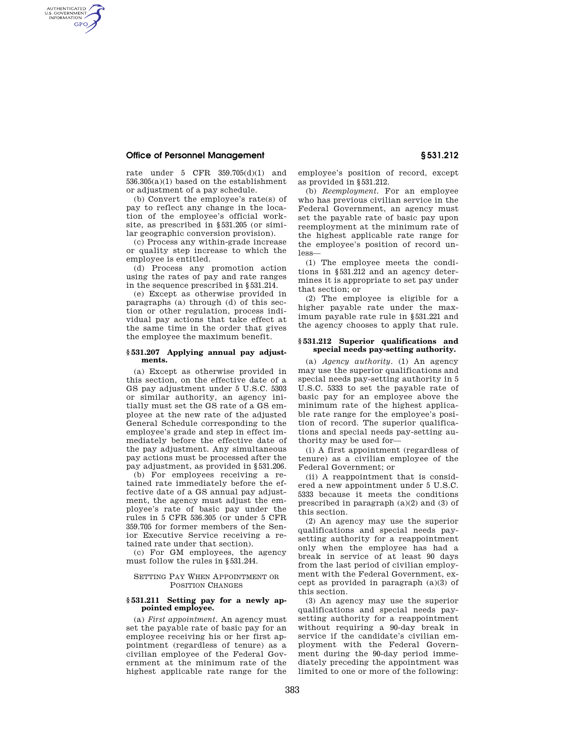# **Office of Personnel Management § 531.212**

AUTHENTICATED<br>U.S. GOVERNMENT<br>INFORMATION **GPO** 

> rate under 5 CFR 359.705(d)(1) and 536.305(a)(1) based on the establishment or adjustment of a pay schedule.

(b) Convert the employee's rate(s) of pay to reflect any change in the location of the employee's official worksite, as prescribed in §531.205 (or similar geographic conversion provision).

(c) Process any within-grade increase or quality step increase to which the employee is entitled.

(d) Process any promotion action using the rates of pay and rate ranges in the sequence prescribed in §531.214.

(e) Except as otherwise provided in paragraphs (a) through (d) of this section or other regulation, process individual pay actions that take effect at the same time in the order that gives the employee the maximum benefit.

### **§ 531.207 Applying annual pay adjustments.**

(a) Except as otherwise provided in this section, on the effective date of a GS pay adjustment under 5 U.S.C. 5303 or similar authority, an agency initially must set the GS rate of a GS employee at the new rate of the adjusted General Schedule corresponding to the employee's grade and step in effect immediately before the effective date of the pay adjustment. Any simultaneous pay actions must be processed after the pay adjustment, as provided in §531.206.

(b) For employees receiving a retained rate immediately before the effective date of a GS annual pay adjustment, the agency must adjust the employee's rate of basic pay under the rules in 5 CFR 536.305 (or under 5 CFR 359.705 for former members of the Senior Executive Service receiving a retained rate under that section).

(c) For GM employees, the agency must follow the rules in §531.244.

## SETTING PAY WHEN APPOINTMENT OR POSITION CHANGES

## **§ 531.211 Setting pay for a newly appointed employee.**

(a) *First appointment.* An agency must set the payable rate of basic pay for an employee receiving his or her first appointment (regardless of tenure) as a civilian employee of the Federal Government at the minimum rate of the highest applicable rate range for the

employee's position of record, except as provided in §531.212.

(b) *Reemployment.* For an employee who has previous civilian service in the Federal Government, an agency must set the payable rate of basic pay upon reemployment at the minimum rate of the highest applicable rate range for the employee's position of record unless—

(1) The employee meets the conditions in §531.212 and an agency determines it is appropriate to set pay under that section; or

(2) The employee is eligible for a higher payable rate under the maximum payable rate rule in §531.221 and the agency chooses to apply that rule.

#### **§ 531.212 Superior qualifications and special needs pay-setting authority.**

(a) *Agency authority.* (1) An agency may use the superior qualifications and special needs pay-setting authority in 5 U.S.C. 5333 to set the payable rate of basic pay for an employee above the minimum rate of the highest applicable rate range for the employee's position of record. The superior qualifications and special needs pay-setting authority may be used for—

(i) A first appointment (regardless of tenure) as a civilian employee of the Federal Government; or

(ii) A reappointment that is considered a new appointment under 5 U.S.C. 5333 because it meets the conditions prescribed in paragraph (a)(2) and (3) of this section.

(2) An agency may use the superior qualifications and special needs paysetting authority for a reappointment only when the employee has had a break in service of at least 90 days from the last period of civilian employment with the Federal Government, except as provided in paragraph (a)(3) of this section.

(3) An agency may use the superior qualifications and special needs paysetting authority for a reappointment without requiring a 90-day break in service if the candidate's civilian employment with the Federal Government during the 90-day period immediately preceding the appointment was limited to one or more of the following: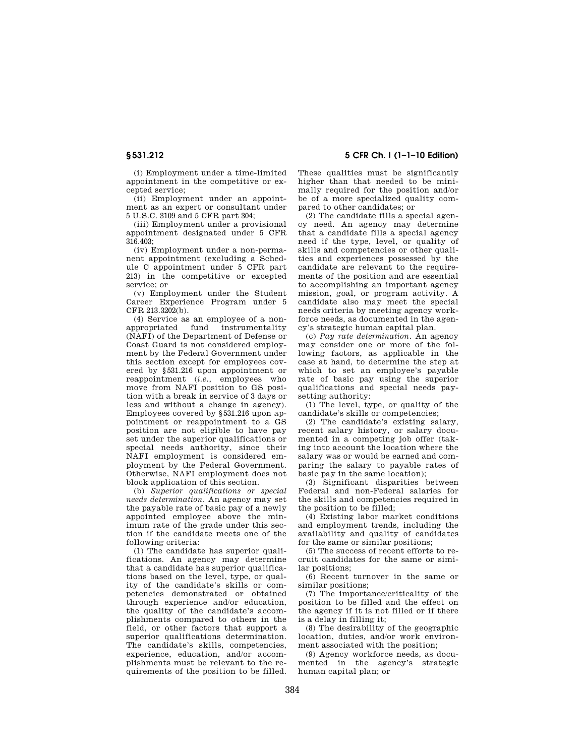(i) Employment under a time-limited appointment in the competitive or excepted service;

(ii) Employment under an appointment as an expert or consultant under 5 U.S.C. 3109 and 5 CFR part 304;

(iii) Employment under a provisional appointment designated under 5 CFR 316.403;

(iv) Employment under a non-permanent appointment (excluding a Schedule C appointment under 5 CFR part 213) in the competitive or excepted service; or

(v) Employment under the Student Career Experience Program under 5 CFR 213.3202(b).

(4) Service as an employee of a nonappropriated fund instrumentality (NAFI) of the Department of Defense or Coast Guard is not considered employment by the Federal Government under this section except for employees covered by §531.216 upon appointment or reappointment (*i.e.*, employees who move from NAFI position to GS position with a break in service of 3 days or less and without a change in agency). Employees covered by §531.216 upon appointment or reappointment to a GS position are not eligible to have pay set under the superior qualifications or special needs authority, since their NAFI employment is considered employment by the Federal Government. Otherwise, NAFI employment does not block application of this section.

(b) *Superior qualifications or special needs determination.* An agency may set the payable rate of basic pay of a newly appointed employee above the minimum rate of the grade under this section if the candidate meets one of the following criteria:

(1) The candidate has superior qualifications. An agency may determine that a candidate has superior qualifications based on the level, type, or quality of the candidate's skills or competencies demonstrated or obtained through experience and/or education, the quality of the candidate's accomplishments compared to others in the field, or other factors that support a superior qualifications determination. The candidate's skills, competencies, experience, education, and/or accomplishments must be relevant to the requirements of the position to be filled.

**§ 531.212 5 CFR Ch. I (1–1–10 Edition)** 

These qualities must be significantly higher than that needed to be minimally required for the position and/or be of a more specialized quality compared to other candidates; or

(2) The candidate fills a special agency need. An agency may determine that a candidate fills a special agency need if the type, level, or quality of skills and competencies or other qualities and experiences possessed by the candidate are relevant to the requirements of the position and are essential to accomplishing an important agency mission, goal, or program activity. A candidate also may meet the special needs criteria by meeting agency workforce needs, as documented in the agency's strategic human capital plan.

(c) *Pay rate determination.* An agency may consider one or more of the following factors, as applicable in the case at hand, to determine the step at which to set an employee's payable rate of basic pay using the superior qualifications and special needs paysetting authority:

(1) The level, type, or quality of the candidate's skills or competencies;

(2) The candidate's existing salary, recent salary history, or salary documented in a competing job offer (taking into account the location where the salary was or would be earned and comparing the salary to payable rates of basic pay in the same location);

(3) Significant disparities between Federal and non-Federal salaries for the skills and competencies required in the position to be filled;

(4) Existing labor market conditions and employment trends, including the availability and quality of candidates for the same or similar positions;

(5) The success of recent efforts to recruit candidates for the same or similar positions;

(6) Recent turnover in the same or similar positions;

(7) The importance/criticality of the position to be filled and the effect on the agency if it is not filled or if there is a delay in filling it;

(8) The desirability of the geographic location, duties, and/or work environment associated with the position;

(9) Agency workforce needs, as documented in the agency's strategic human capital plan; or